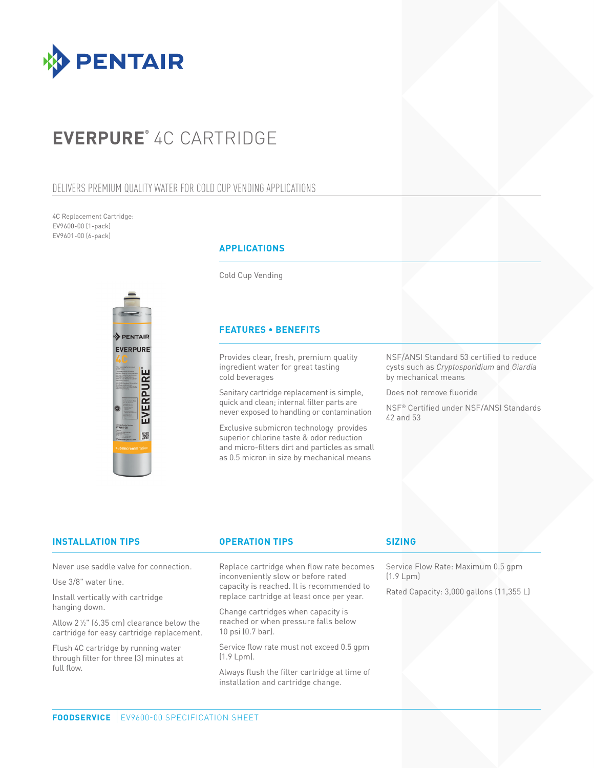

# **EVERPURE®** 4C CARTRIDGE

## DELIVERS PREMIUM QUALITY WATER FOR COLD CUP VENDING APPLICATIONS

4C Replacement Cartridge: EV9600-00 (1-pack) EV9601-00 (6-pack)



### **APPLICATIONS**

Cold Cup Vending

### **FEATURES • BENEFITS**

Provides clear, fresh, premium quality ingredient water for great tasting cold beverages

Sanitary cartridge replacement is simple, quick and clean; internal filter parts are never exposed to handling or contamination

Exclusive submicron technology provides superior chlorine taste & odor reduction and micro-filters dirt and particles as small as 0.5 micron in size by mechanical means

NSF/ANSI Standard 53 certified to reduce cysts such as *Cryptosporidium* and *Giardia* by mechanical means

Does not remove fluoride

NSF® Certified under NSF/ANSI Standards 42 and 53

| <b>INSTALLATION TIPS</b>                                                                          | <b>OPERATION TIPS</b>                                                                                                                                                     | <b>SIZING</b>                                         |
|---------------------------------------------------------------------------------------------------|---------------------------------------------------------------------------------------------------------------------------------------------------------------------------|-------------------------------------------------------|
| Never use saddle valve for connection.                                                            | Replace cartridge when flow rate becomes<br>inconveniently slow or before rated<br>capacity is reached. It is recommended to<br>replace cartridge at least once per year. | Service Flow Rate: Maximum 0.5 qpm                    |
| Use 3/8" water line.                                                                              |                                                                                                                                                                           | (1.9 Lpm)<br>Rated Capacity: 3,000 gallons (11,355 L) |
| Install vertically with cartridge<br>hanging down.                                                |                                                                                                                                                                           |                                                       |
|                                                                                                   | Change cartridges when capacity is<br>reached or when pressure falls below<br>10 psi (0.7 bar).                                                                           |                                                       |
| Allow $2\frac{1}{2}$ " (6.35 cm) clearance below the<br>cartridge for easy cartridge replacement. |                                                                                                                                                                           |                                                       |
| Flush 4C cartridge by running water<br>through filter for three [3] minutes at<br>full flow.      | Service flow rate must not exceed 0.5 qpm<br>$(1.9 Lpm)$ .                                                                                                                |                                                       |
|                                                                                                   | Always flush the filter cartridge at time of                                                                                                                              |                                                       |

installation and cartridge change.